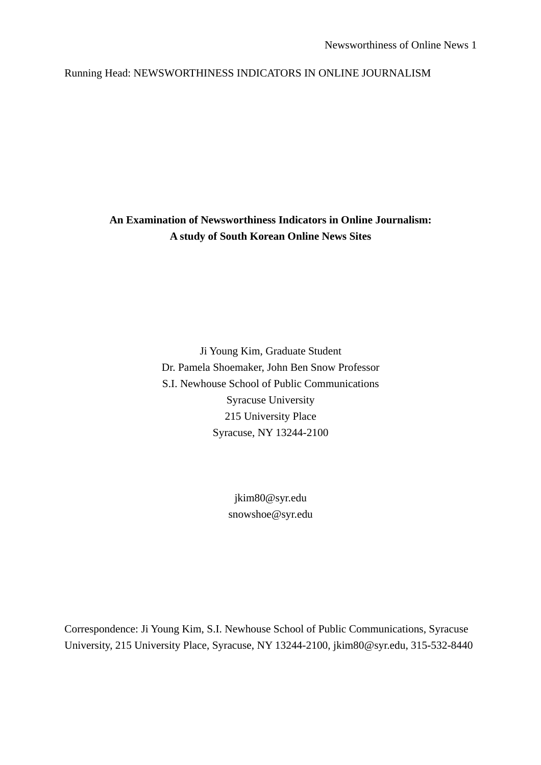Running Head: NEWSWORTHINESS INDICATORS IN ONLINE JOURNALISM

**An Examination of Newsworthiness Indicators in Online Journalism: A study of South Korean Online News Sites** 

> Ji Young Kim, Graduate Student Dr. Pamela Shoemaker, John Ben Snow Professor S.I. Newhouse School of Public Communications Syracuse University 215 University Place Syracuse, NY 13244-2100

> > jkim80@syr.edu snowshoe@syr.edu

Correspondence: Ji Young Kim, S.I. Newhouse School of Public Communications, Syracuse University, 215 University Place, Syracuse, NY 13244-2100, jkim80@syr.edu, 315-532-8440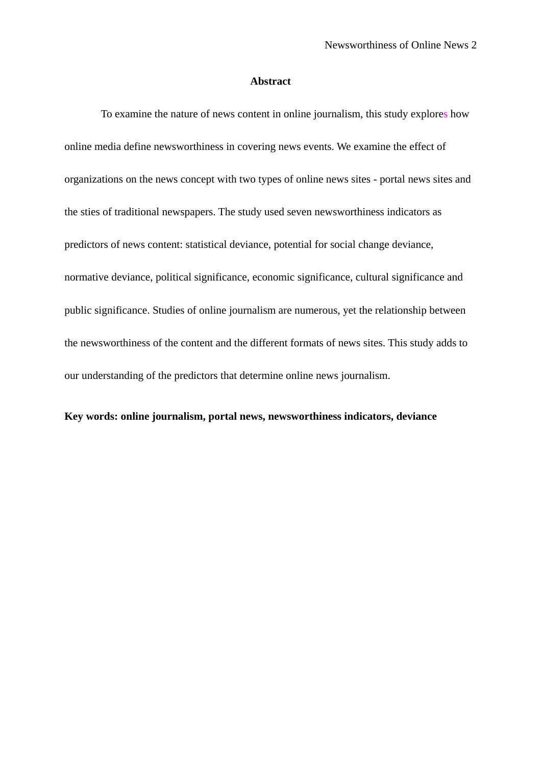## **Abstract**

 To examine the nature of news content in online journalism, this study explores how online media define newsworthiness in covering news events. We examine the effect of organizations on the news concept with two types of online news sites - portal news sites and the sties of traditional newspapers. The study used seven newsworthiness indicators as predictors of news content: statistical deviance, potential for social change deviance, normative deviance, political significance, economic significance, cultural significance and public significance. Studies of online journalism are numerous, yet the relationship between the newsworthiness of the content and the different formats of news sites. This study adds to our understanding of the predictors that determine online news journalism.

## **Key words: online journalism, portal news, newsworthiness indicators, deviance**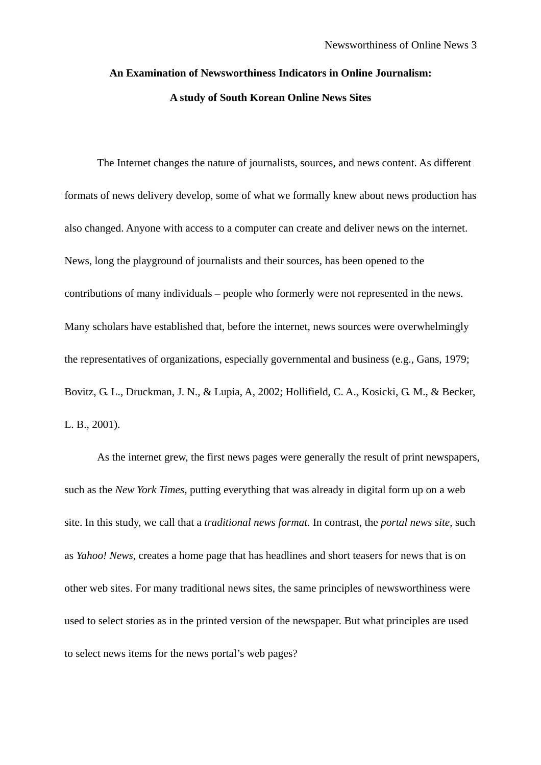# **An Examination of Newsworthiness Indicators in Online Journalism: A study of South Korean Online News Sites**

The Internet changes the nature of journalists, sources, and news content. As different formats of news delivery develop, some of what we formally knew about news production has also changed. Anyone with access to a computer can create and deliver news on the internet. News, long the playground of journalists and their sources, has been opened to the contributions of many individuals – people who formerly were not represented in the news. Many scholars have established that, before the internet, news sources were overwhelmingly the representatives of organizations, especially governmental and business (e.g., Gans, 1979; Bovitz, G. L., Druckman, J. N., & Lupia, A, 2002; Hollifield, C. A., Kosicki, G. M., & Becker, L. B., 2001).

As the internet grew, the first news pages were generally the result of print newspapers, such as the *New York Times*, putting everything that was already in digital form up on a web site. In this study, we call that a *traditional news format.* In contrast, the *portal news site*, such as *Yahoo! News*, creates a home page that has headlines and short teasers for news that is on other web sites. For many traditional news sites, the same principles of newsworthiness were used to select stories as in the printed version of the newspaper. But what principles are used to select news items for the news portal's web pages?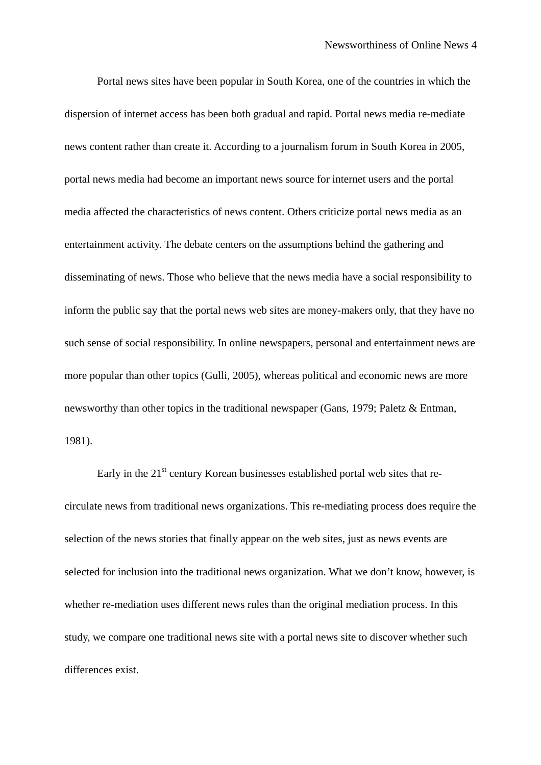Portal news sites have been popular in South Korea, one of the countries in which the dispersion of internet access has been both gradual and rapid. Portal news media re-mediate news content rather than create it. According to a journalism forum in South Korea in 2005, portal news media had become an important news source for internet users and the portal media affected the characteristics of news content. Others criticize portal news media as an entertainment activity. The debate centers on the assumptions behind the gathering and disseminating of news. Those who believe that the news media have a social responsibility to inform the public say that the portal news web sites are money-makers only, that they have no such sense of social responsibility. In online newspapers, personal and entertainment news are more popular than other topics (Gulli, 2005), whereas political and economic news are more newsworthy than other topics in the traditional newspaper (Gans, 1979; Paletz & Entman, 1981).

Early in the  $21<sup>st</sup>$  century Korean businesses established portal web sites that recirculate news from traditional news organizations. This re-mediating process does require the selection of the news stories that finally appear on the web sites, just as news events are selected for inclusion into the traditional news organization. What we don't know, however, is whether re-mediation uses different news rules than the original mediation process. In this study, we compare one traditional news site with a portal news site to discover whether such differences exist.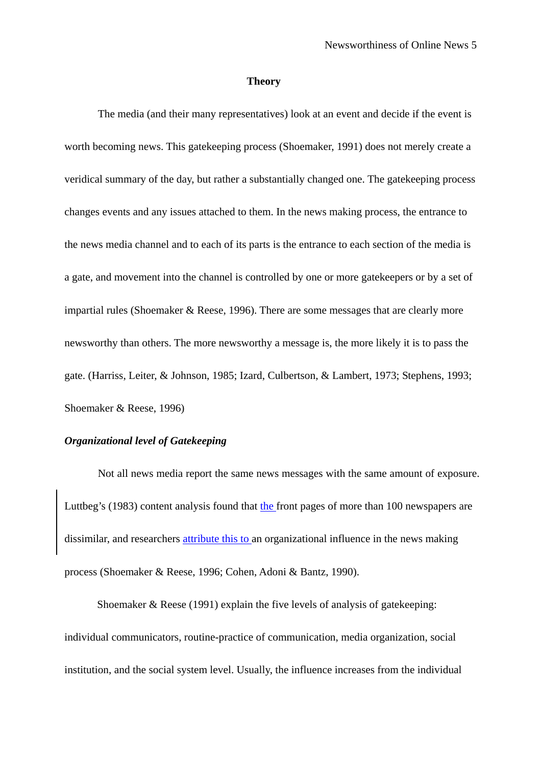#### **Theory**

The media (and their many representatives) look at an event and decide if the event is worth becoming news. This gatekeeping process (Shoemaker, 1991) does not merely create a veridical summary of the day, but rather a substantially changed one. The gatekeeping process changes events and any issues attached to them. In the news making process, the entrance to the news media channel and to each of its parts is the entrance to each section of the media is a gate, and movement into the channel is controlled by one or more gatekeepers or by a set of impartial rules (Shoemaker & Reese, 1996). There are some messages that are clearly more newsworthy than others. The more newsworthy a message is, the more likely it is to pass the gate. (Harriss, Leiter, & Johnson, 1985; Izard, Culbertson, & Lambert, 1973; Stephens, 1993; Shoemaker & Reese, 1996)

## *Organizational level of Gatekeeping*

Not all news media report the same news messages with the same amount of exposure. Luttbeg's (1983) content analysis found that the front pages of more than 100 newspapers are dissimilar, and researchers attribute this to an organizational influence in the news making process (Shoemaker & Reese, 1996; Cohen, Adoni & Bantz, 1990).

Shoemaker & Reese (1991) explain the five levels of analysis of gatekeeping: individual communicators, routine-practice of communication, media organization, social institution, and the social system level. Usually, the influence increases from the individual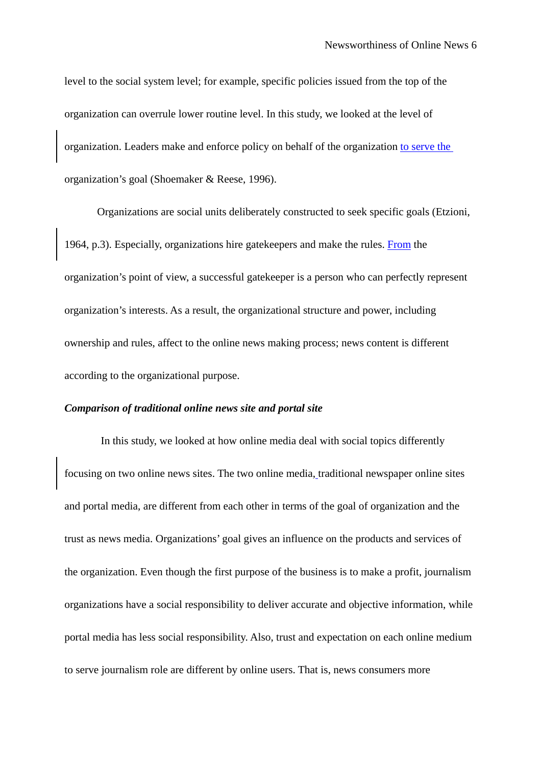level to the social system level; for example, specific policies issued from the top of the organization can overrule lower routine level. In this study, we looked at the level of organization. Leaders make and enforce policy on behalf of the organization to serve the organization's goal (Shoemaker & Reese, 1996).

Organizations are social units deliberately constructed to seek specific goals (Etzioni, 1964, p.3). Especially, organizations hire gatekeepers and make the rules. From the organization's point of view, a successful gatekeeper is a person who can perfectly represent organization's interests. As a result, the organizational structure and power, including ownership and rules, affect to the online news making process; news content is different according to the organizational purpose.

## *Comparison of traditional online news site and portal site*

In this study, we looked at how online media deal with social topics differently focusing on two online news sites. The two online media, traditional newspaper online sites and portal media, are different from each other in terms of the goal of organization and the trust as news media. Organizations' goal gives an influence on the products and services of the organization. Even though the first purpose of the business is to make a profit, journalism organizations have a social responsibility to deliver accurate and objective information, while portal media has less social responsibility. Also, trust and expectation on each online medium to serve journalism role are different by online users. That is, news consumers more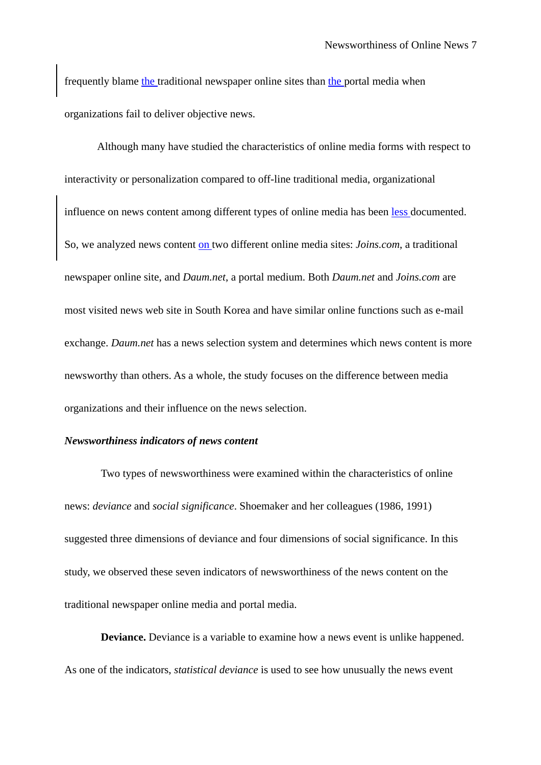frequently blame the traditional newspaper online sites than the portal media when organizations fail to deliver objective news.

Although many have studied the characteristics of online media forms with respect to interactivity or personalization compared to off-line traditional media, organizational influence on news content among different types of online media has been less documented. So, we analyzed news content on two different online media sites: *Joins.com*, a traditional newspaper online site, and *Daum.net*, a portal medium. Both *Daum.net* and *Joins.com* are most visited news web site in South Korea and have similar online functions such as e-mail exchange. *Daum.net* has a news selection system and determines which news content is more newsworthy than others. As a whole, the study focuses on the difference between media organizations and their influence on the news selection.

### *Newsworthiness indicators of news content*

 Two types of newsworthiness were examined within the characteristics of online news: *deviance* and *social significance*. Shoemaker and her colleagues (1986, 1991) suggested three dimensions of deviance and four dimensions of social significance. In this study, we observed these seven indicators of newsworthiness of the news content on the traditional newspaper online media and portal media.

**Deviance.** Deviance is a variable to examine how a news event is unlike happened. As one of the indicators, *statistical deviance* is used to see how unusually the news event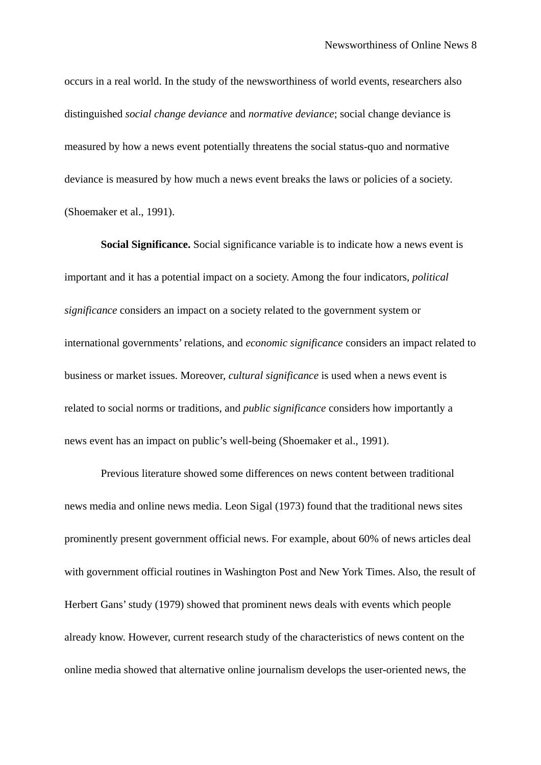occurs in a real world. In the study of the newsworthiness of world events, researchers also distinguished *social change deviance* and *normative deviance*; social change deviance is measured by how a news event potentially threatens the social status-quo and normative deviance is measured by how much a news event breaks the laws or policies of a society. (Shoemaker et al., 1991).

**Social Significance.** Social significance variable is to indicate how a news event is important and it has a potential impact on a society. Among the four indicators, *political significance* considers an impact on a society related to the government system or international governments' relations, and *economic significance* considers an impact related to business or market issues. Moreover, *cultural significance* is used when a news event is related to social norms or traditions, and *public significance* considers how importantly a news event has an impact on public's well-being (Shoemaker et al., 1991).

 Previous literature showed some differences on news content between traditional news media and online news media. Leon Sigal (1973) found that the traditional news sites prominently present government official news. For example, about 60% of news articles deal with government official routines in Washington Post and New York Times. Also, the result of Herbert Gans' study (1979) showed that prominent news deals with events which people already know. However, current research study of the characteristics of news content on the online media showed that alternative online journalism develops the user-oriented news, the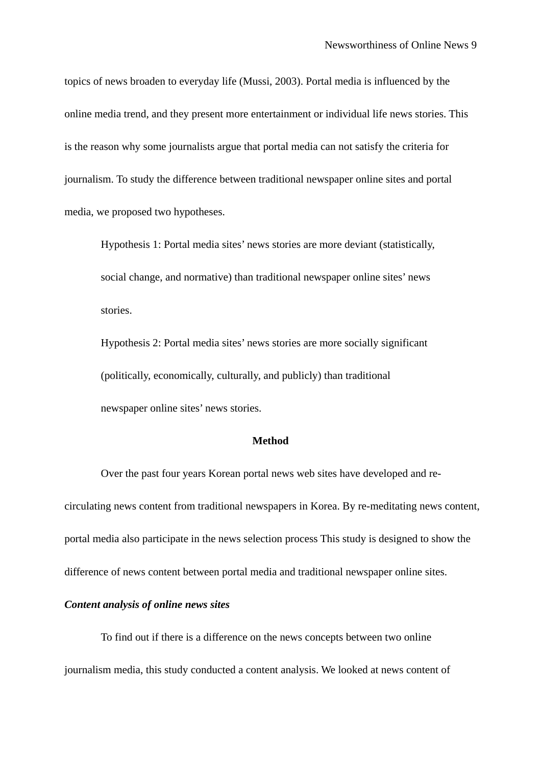topics of news broaden to everyday life (Mussi, 2003). Portal media is influenced by the online media trend, and they present more entertainment or individual life news stories. This is the reason why some journalists argue that portal media can not satisfy the criteria for journalism. To study the difference between traditional newspaper online sites and portal media, we proposed two hypotheses.

Hypothesis 1: Portal media sites' news stories are more deviant (statistically, social change, and normative) than traditional newspaper online sites' news stories.

Hypothesis 2: Portal media sites' news stories are more socially significant (politically, economically, culturally, and publicly) than traditional newspaper online sites' news stories.

### **Method**

Over the past four years Korean portal news web sites have developed and recirculating news content from traditional newspapers in Korea. By re-meditating news content, portal media also participate in the news selection process This study is designed to show the difference of news content between portal media and traditional newspaper online sites.

## *Content analysis of online news sites*

 To find out if there is a difference on the news concepts between two online journalism media, this study conducted a content analysis. We looked at news content of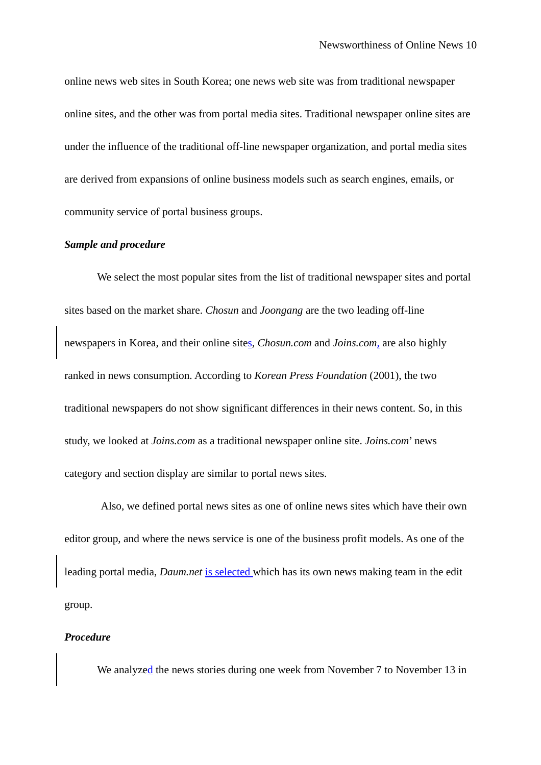online news web sites in South Korea; one news web site was from traditional newspaper online sites, and the other was from portal media sites. Traditional newspaper online sites are under the influence of the traditional off-line newspaper organization, and portal media sites are derived from expansions of online business models such as search engines, emails, or community service of portal business groups.

## *Sample and procedure*

We select the most popular sites from the list of traditional newspaper sites and portal sites based on the market share. *Chosun* and *Joongang* are the two leading off-line newspapers in Korea, and their online sites, *Chosun.com* and *Joins.com,* are also highly ranked in news consumption. According to *Korean Press Foundation* (2001), the two traditional newspapers do not show significant differences in their news content. So, in this study, we looked at *Joins.com* as a traditional newspaper online site. *Joins.com*' news category and section display are similar to portal news sites.

 Also, we defined portal news sites as one of online news sites which have their own editor group, and where the news service is one of the business profit models. As one of the leading portal media, *Daum.net* is selected which has its own news making team in the edit group.

## *Procedure*

We analyzed the news stories during one week from November 7 to November 13 in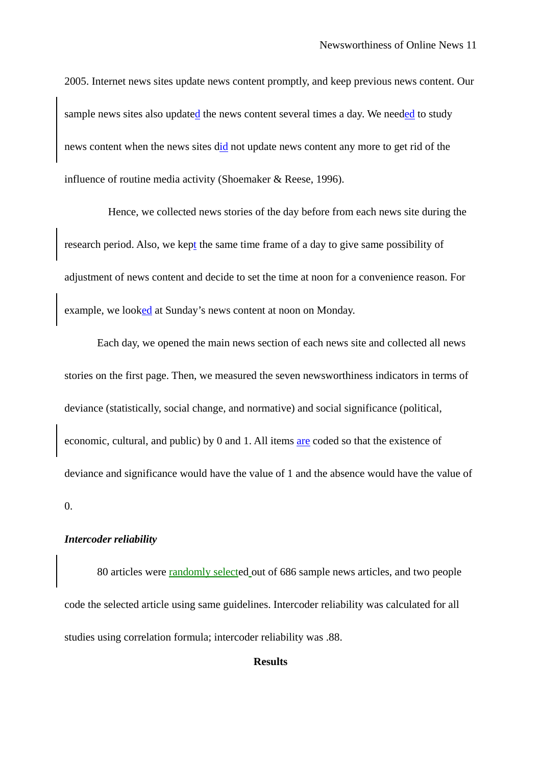2005. Internet news sites update news content promptly, and keep previous news content. Our sample news sites also updated the news content several times a day. We needed to study news content when the news sites did not update news content any more to get rid of the influence of routine media activity (Shoemaker & Reese, 1996).

 Hence, we collected news stories of the day before from each news site during the research period. Also, we kept the same time frame of a day to give same possibility of adjustment of news content and decide to set the time at noon for a convenience reason. For example, we looked at Sunday's news content at noon on Monday.

Each day, we opened the main news section of each news site and collected all news stories on the first page. Then, we measured the seven newsworthiness indicators in terms of deviance (statistically, social change, and normative) and social significance (political, economic, cultural, and public) by 0 and 1. All items are coded so that the existence of deviance and significance would have the value of 1 and the absence would have the value of 0.

## *Intercoder reliability*

80 articles were randomly selected out of 686 sample news articles, and two people code the selected article using same guidelines. Intercoder reliability was calculated for all studies using correlation formula; intercoder reliability was .88.

## **Results**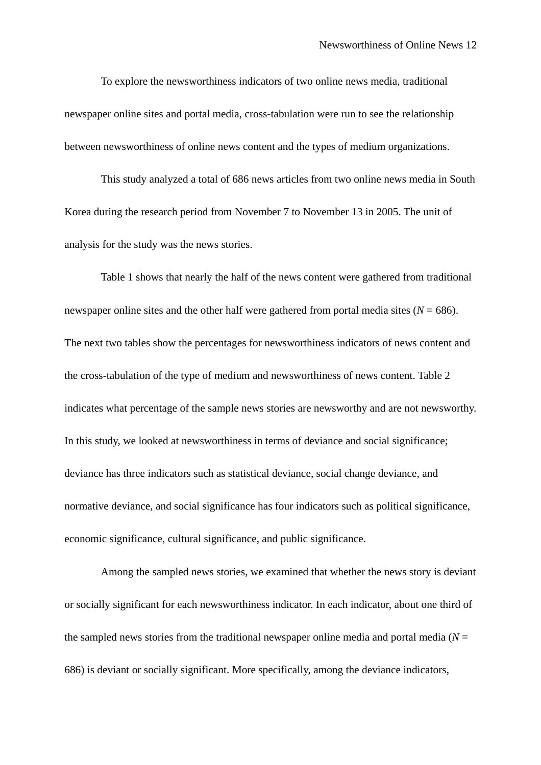To explore the newsworthiness indicators of two online news media, traditional newspaper online sites and portal media, cross-tabulation were run to see the relationship between newsworthiness of online news content and the types of medium organizations.

 This study analyzed a total of 686 news articles from two online news media in South Korea during the research period from November 7 to November 13 in 2005. The unit of analysis for the study was the news stories.

 Table 1 shows that nearly the half of the news content were gathered from traditional newspaper online sites and the other half were gathered from portal media sites  $(N = 686)$ . The next two tables show the percentages for newsworthiness indicators of news content and the cross-tabulation of the type of medium and newsworthiness of news content. Table 2 indicates what percentage of the sample news stories are newsworthy and are not newsworthy. In this study, we looked at newsworthiness in terms of deviance and social significance; deviance has three indicators such as statistical deviance, social change deviance, and normative deviance, and social significance has four indicators such as political significance, economic significance, cultural significance, and public significance.

 Among the sampled news stories, we examined that whether the news story is deviant or socially significant for each newsworthiness indicator. In each indicator, about one third of the sampled news stories from the traditional newspaper online media and portal media ( $N =$ 686) is deviant or socially significant. More specifically, among the deviance indicators,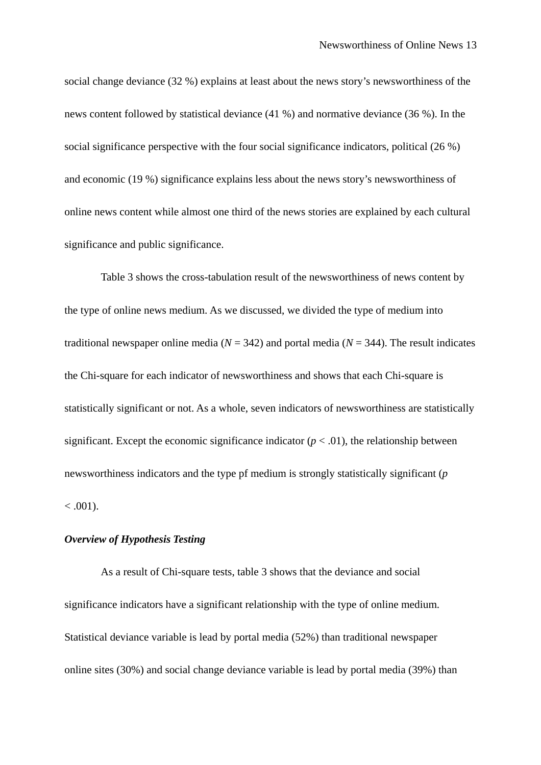social change deviance (32 %) explains at least about the news story's newsworthiness of the news content followed by statistical deviance (41 %) and normative deviance (36 %). In the social significance perspective with the four social significance indicators, political (26 %) and economic (19 %) significance explains less about the news story's newsworthiness of online news content while almost one third of the news stories are explained by each cultural significance and public significance.

 Table 3 shows the cross-tabulation result of the newsworthiness of news content by the type of online news medium. As we discussed, we divided the type of medium into traditional newspaper online media ( $N = 342$ ) and portal media ( $N = 344$ ). The result indicates the Chi-square for each indicator of newsworthiness and shows that each Chi-square is statistically significant or not. As a whole, seven indicators of newsworthiness are statistically significant. Except the economic significance indicator  $(p < .01)$ , the relationship between newsworthiness indicators and the type pf medium is strongly statistically significant (*p*  $< .001$ ).

## *Overview of Hypothesis Testing*

 As a result of Chi-square tests, table 3 shows that the deviance and social significance indicators have a significant relationship with the type of online medium. Statistical deviance variable is lead by portal media (52%) than traditional newspaper online sites (30%) and social change deviance variable is lead by portal media (39%) than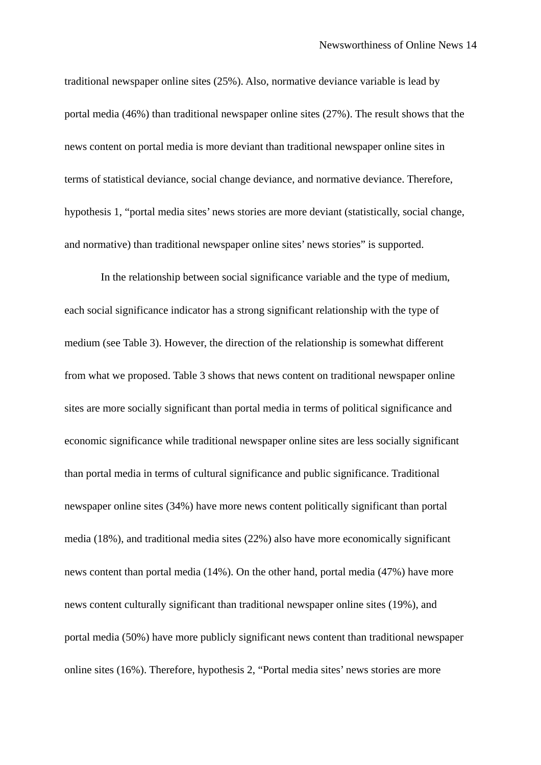traditional newspaper online sites (25%). Also, normative deviance variable is lead by portal media (46%) than traditional newspaper online sites (27%). The result shows that the news content on portal media is more deviant than traditional newspaper online sites in terms of statistical deviance, social change deviance, and normative deviance. Therefore, hypothesis 1, "portal media sites' news stories are more deviant (statistically, social change, and normative) than traditional newspaper online sites' news stories" is supported.

 In the relationship between social significance variable and the type of medium, each social significance indicator has a strong significant relationship with the type of medium (see Table 3). However, the direction of the relationship is somewhat different from what we proposed. Table 3 shows that news content on traditional newspaper online sites are more socially significant than portal media in terms of political significance and economic significance while traditional newspaper online sites are less socially significant than portal media in terms of cultural significance and public significance. Traditional newspaper online sites (34%) have more news content politically significant than portal media (18%), and traditional media sites (22%) also have more economically significant news content than portal media (14%). On the other hand, portal media (47%) have more news content culturally significant than traditional newspaper online sites (19%), and portal media (50%) have more publicly significant news content than traditional newspaper online sites (16%). Therefore, hypothesis 2, "Portal media sites' news stories are more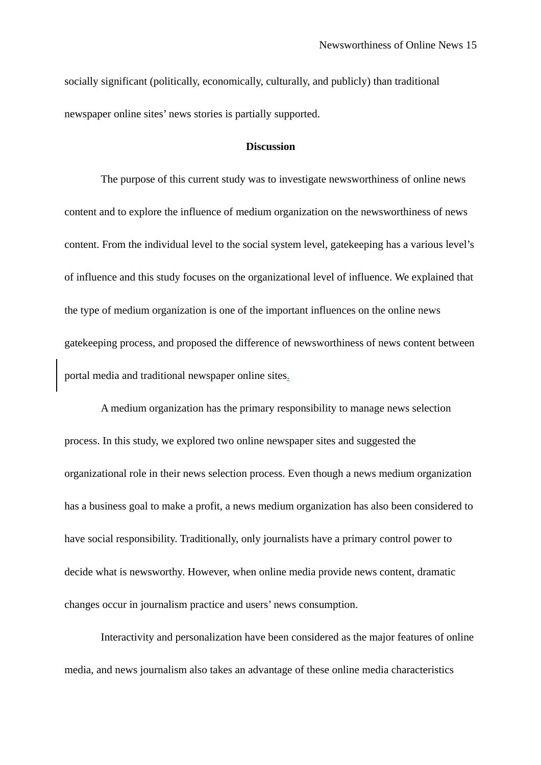socially significant (politically, economically, culturally, and publicly) than traditional newspaper online sites' news stories is partially supported.

## **Discussion**

 The purpose of this current study was to investigate newsworthiness of online news content and to explore the influence of medium organization on the newsworthiness of news content. From the individual level to the social system level, gatekeeping has a various level's of influence and this study focuses on the organizational level of influence. We explained that the type of medium organization is one of the important influences on the online news gatekeeping process, and proposed the difference of newsworthiness of news content between portal media and traditional newspaper online sites.

 A medium organization has the primary responsibility to manage news selection process. In this study, we explored two online newspaper sites and suggested the organizational role in their news selection process. Even though a news medium organization has a business goal to make a profit, a news medium organization has also been considered to have social responsibility. Traditionally, only journalists have a primary control power to decide what is newsworthy. However, when online media provide news content, dramatic changes occur in journalism practice and users' news consumption.

 Interactivity and personalization have been considered as the major features of online media, and news journalism also takes an advantage of these online media characteristics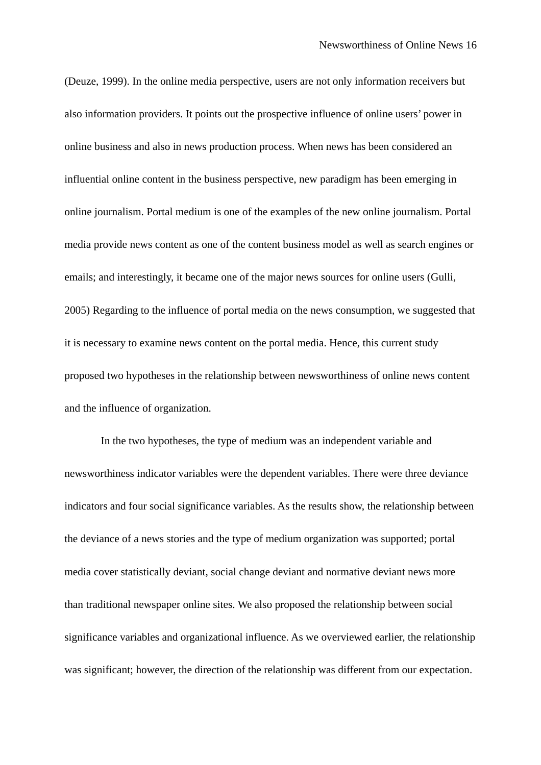(Deuze, 1999). In the online media perspective, users are not only information receivers but also information providers. It points out the prospective influence of online users' power in online business and also in news production process. When news has been considered an influential online content in the business perspective, new paradigm has been emerging in online journalism. Portal medium is one of the examples of the new online journalism. Portal media provide news content as one of the content business model as well as search engines or emails; and interestingly, it became one of the major news sources for online users (Gulli, 2005) Regarding to the influence of portal media on the news consumption, we suggested that it is necessary to examine news content on the portal media. Hence, this current study proposed two hypotheses in the relationship between newsworthiness of online news content and the influence of organization.

 In the two hypotheses, the type of medium was an independent variable and newsworthiness indicator variables were the dependent variables. There were three deviance indicators and four social significance variables. As the results show, the relationship between the deviance of a news stories and the type of medium organization was supported; portal media cover statistically deviant, social change deviant and normative deviant news more than traditional newspaper online sites. We also proposed the relationship between social significance variables and organizational influence. As we overviewed earlier, the relationship was significant; however, the direction of the relationship was different from our expectation.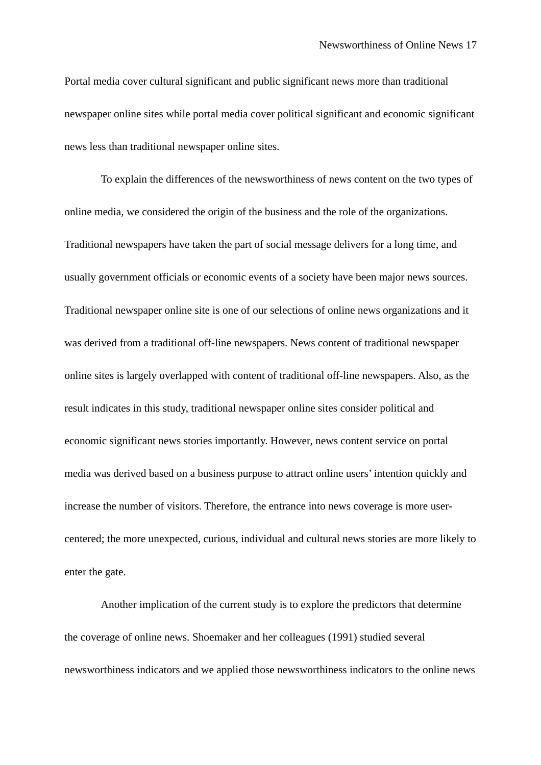Portal media cover cultural significant and public significant news more than traditional newspaper online sites while portal media cover political significant and economic significant news less than traditional newspaper online sites.

 To explain the differences of the newsworthiness of news content on the two types of online media, we considered the origin of the business and the role of the organizations. Traditional newspapers have taken the part of social message delivers for a long time, and usually government officials or economic events of a society have been major news sources. Traditional newspaper online site is one of our selections of online news organizations and it was derived from a traditional off-line newspapers. News content of traditional newspaper online sites is largely overlapped with content of traditional off-line newspapers. Also, as the result indicates in this study, traditional newspaper online sites consider political and economic significant news stories importantly. However, news content service on portal media was derived based on a business purpose to attract online users' intention quickly and increase the number of visitors. Therefore, the entrance into news coverage is more usercentered; the more unexpected, curious, individual and cultural news stories are more likely to enter the gate.

 Another implication of the current study is to explore the predictors that determine the coverage of online news. Shoemaker and her colleagues (1991) studied several newsworthiness indicators and we applied those newsworthiness indicators to the online news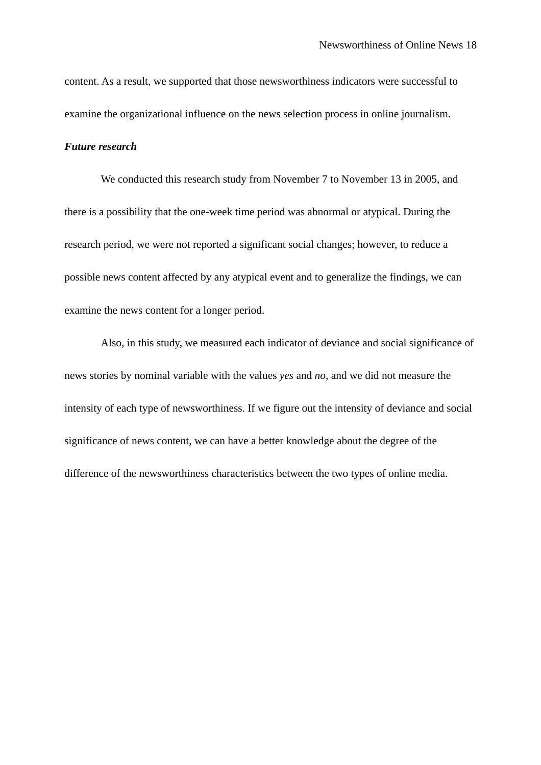content. As a result, we supported that those newsworthiness indicators were successful to examine the organizational influence on the news selection process in online journalism.

## *Future research*

 We conducted this research study from November 7 to November 13 in 2005, and there is a possibility that the one-week time period was abnormal or atypical. During the research period, we were not reported a significant social changes; however, to reduce a possible news content affected by any atypical event and to generalize the findings, we can examine the news content for a longer period.

 Also, in this study, we measured each indicator of deviance and social significance of news stories by nominal variable with the values *yes* and *no*, and we did not measure the intensity of each type of newsworthiness. If we figure out the intensity of deviance and social significance of news content, we can have a better knowledge about the degree of the difference of the newsworthiness characteristics between the two types of online media.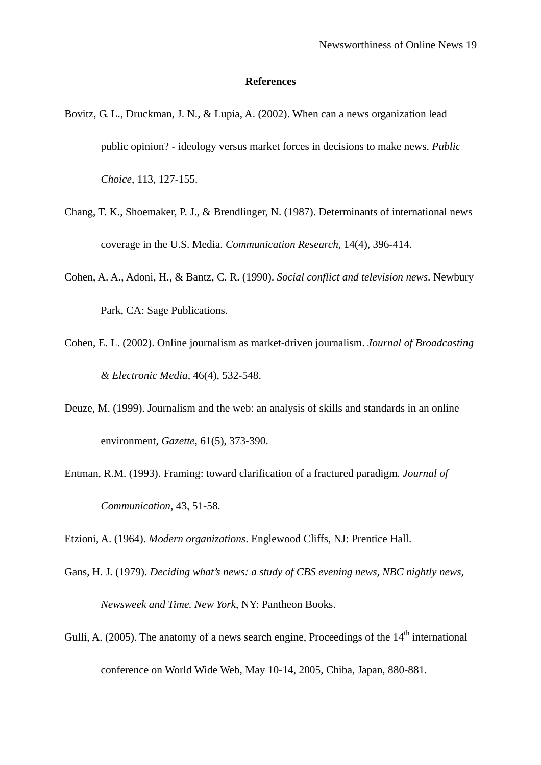#### **References**

- Bovitz, G. L., Druckman, J. N., & Lupia, A. (2002). When can a news organization lead public opinion? - ideology versus market forces in decisions to make news. *Public Choice*, 113, 127-155.
- Chang, T. K., Shoemaker, P. J., & Brendlinger, N. (1987). Determinants of international news coverage in the U.S. Media. *Communication Research*, 14(4), 396-414.
- Cohen, A. A., Adoni, H., & Bantz, C. R. (1990). *Social conflict and television news*. Newbury Park, CA: Sage Publications.
- Cohen, E. L. (2002). Online journalism as market-driven journalism. *Journal of Broadcasting & Electronic Media*, 46(4), 532-548.
- Deuze, M. (1999). Journalism and the web: an analysis of skills and standards in an online environment, *Gazette*, 61(5), 373-390.
- Entman, R.M. (1993). Framing: toward clarification of a fractured paradigm*. Journal of Communication,* 43, 51-58.

Etzioni, A. (1964). *Modern organizations*. Englewood Cliffs, NJ: Prentice Hall.

- Gans, H. J. (1979). *Deciding what's news: a study of CBS evening news, NBC nightly news, Newsweek and Time. New York*, NY: Pantheon Books.
- Gulli, A. (2005). The anatomy of a news search engine, Proceedings of the  $14<sup>th</sup>$  international conference on World Wide Web, May 10-14, 2005, Chiba, Japan, 880-881.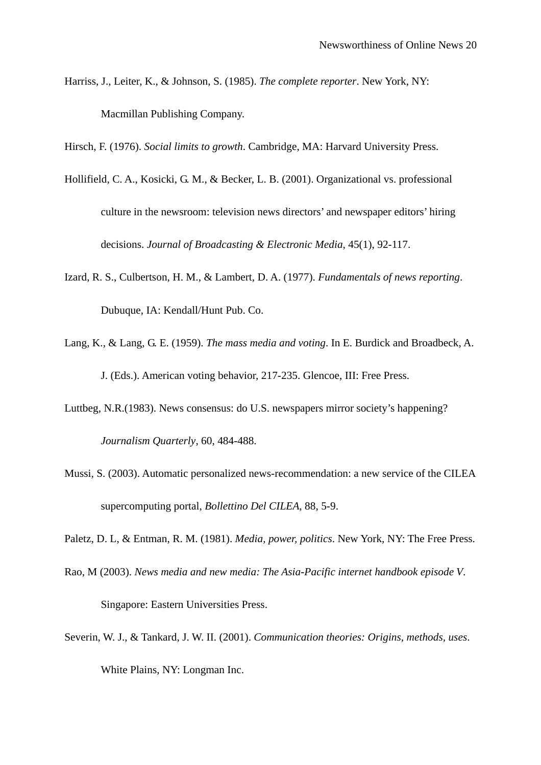Harriss, J., Leiter, K., & Johnson, S. (1985). *The complete reporter*. New York, NY: Macmillan Publishing Company.

Hirsch, F. (1976). *Social limits to growth*. Cambridge, MA: Harvard University Press.

- Hollifield, C. A., Kosicki, G. M., & Becker, L. B. (2001). Organizational vs. professional culture in the newsroom: television news directors' and newspaper editors' hiring decisions. *Journal of Broadcasting & Electronic Media*, 45(1), 92-117.
- Izard, R. S., Culbertson, H. M., & Lambert, D. A. (1977). *Fundamentals of news reporting*. Dubuque, IA: Kendall/Hunt Pub. Co.
- Lang, K., & Lang, G. E. (1959). *The mass media and voting*. In E. Burdick and Broadbeck, A. J. (Eds.). American voting behavior, 217-235. Glencoe, III: Free Press.
- Luttbeg, N.R.(1983). News consensus: do U.S. newspapers mirror society's happening? *Journalism Quarterly*, 60, 484-488.
- Mussi, S. (2003). Automatic personalized news-recommendation: a new service of the CILEA supercomputing portal, *Bollettino Del CILEA*, 88, 5-9.

Paletz, D. L, & Entman, R. M. (1981). *Media, power, politics*. New York, NY: The Free Press.

- Rao, M (2003). *News media and new media: The Asia-Pacific internet handbook episode V*. Singapore: Eastern Universities Press.
- Severin, W. J., & Tankard, J. W. II. (2001). *Communication theories: Origins, methods, uses*. White Plains, NY: Longman Inc.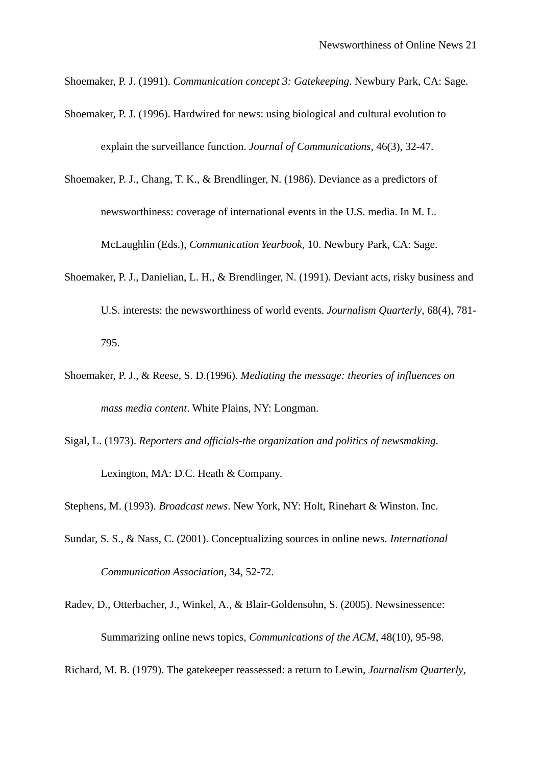Shoemaker, P. J. (1991). *Communication concept 3: Gatekeeping.* Newbury Park, CA: Sage.

- Shoemaker, P. J. (1996). Hardwired for news: using biological and cultural evolution to explain the surveillance function. *Journal of Communications*, 46(3), 32-47.
- Shoemaker, P. J., Chang, T. K., & Brendlinger, N. (1986). Deviance as a predictors of newsworthiness: coverage of international events in the U.S. media. In M. L. McLaughlin (Eds.), *Communication Yearbook*, 10. Newbury Park, CA: Sage.
- Shoemaker, P. J., Danielian, L. H., & Brendlinger, N. (1991). Deviant acts, risky business and U.S. interests: the newsworthiness of world events. *Journalism Quarterly*, 68(4), 781- 795.
- Shoemaker, P. J., & Reese, S. D.(1996). *Mediating the message: theories of influences on mass media content*. White Plains, NY: Longman.
- Sigal, L. (1973). *Reporters and officials-the organization and politics of newsmaking*. Lexington, MA: D.C. Heath & Company.
- Stephens, M. (1993). *Broadcast news*. New York, NY: Holt, Rinehart & Winston. Inc.
- Sundar, S. S., & Nass, C. (2001). Conceptualizing sources in online news. *International Communication Association*, 34, 52-72.
- Radev, D., Otterbacher, J., Winkel, A., & Blair-Goldensohn, S. (2005). Newsinessence: Summarizing online news topics, *Communications of the ACM*, 48(10), 95-98.

Richard, M. B. (1979). The gatekeeper reassessed: a return to Lewin, *Journalism Quarterly*,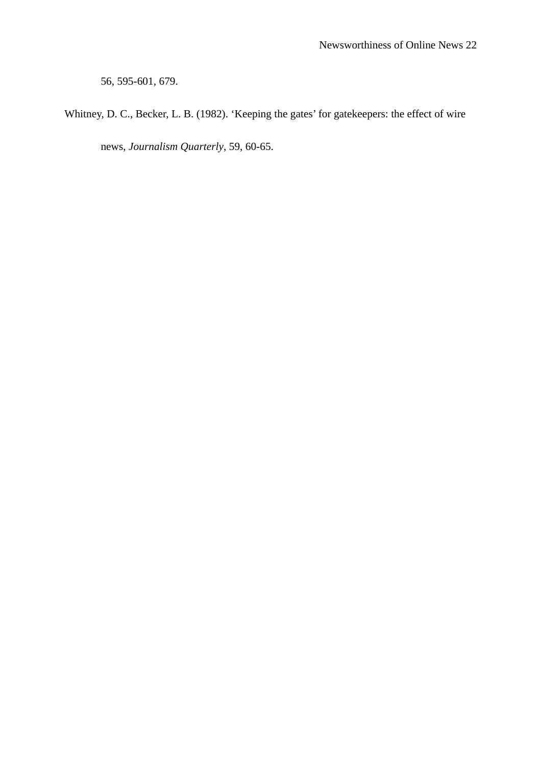56, 595-601, 679.

Whitney, D. C., Becker, L. B. (1982). 'Keeping the gates' for gatekeepers: the effect of wire

news, *Journalism Quarterly*, 59, 60-65.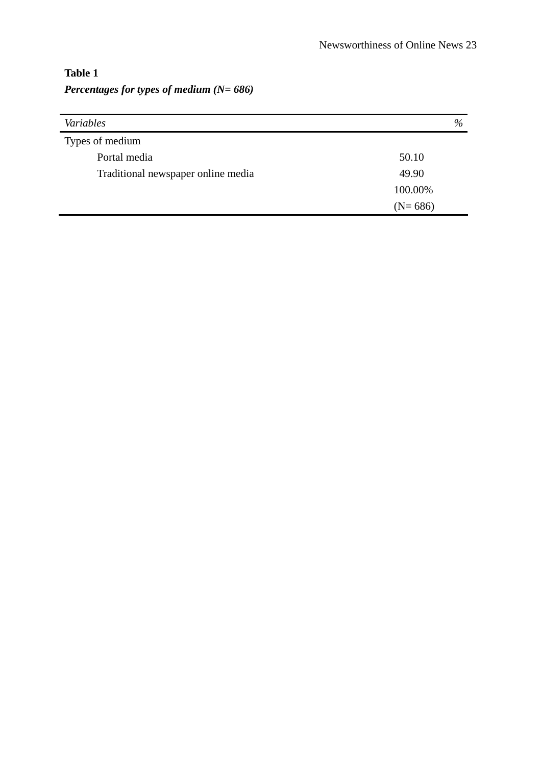## **Table 1**  *Percentages for types of medium (N= 686)*

| Variables                          | %         |  |  |
|------------------------------------|-----------|--|--|
| Types of medium                    |           |  |  |
| Portal media                       | 50.10     |  |  |
| Traditional newspaper online media | 49.90     |  |  |
|                                    | 100.00%   |  |  |
|                                    | $(N=686)$ |  |  |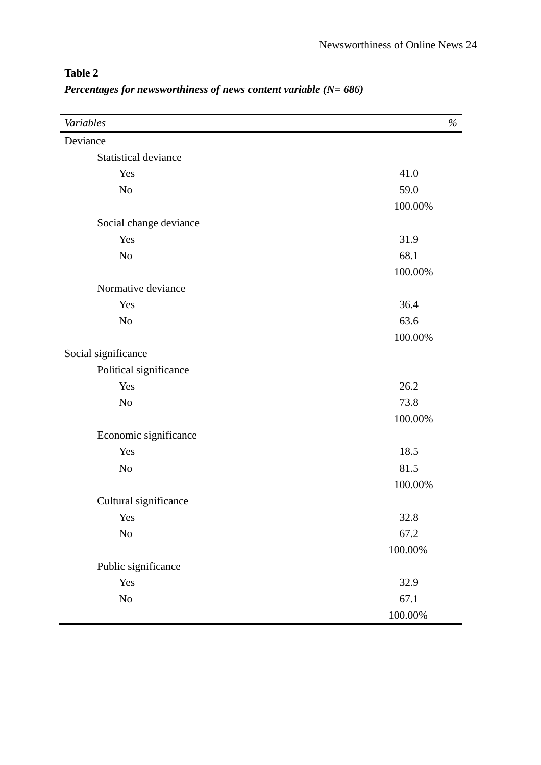| Variables                   | $\%$       |
|-----------------------------|------------|
| Deviance                    |            |
| <b>Statistical deviance</b> |            |
| Yes                         | 41.0       |
| No                          | 59.0       |
|                             | 100.00%    |
| Social change deviance      |            |
| Yes                         | 31.9       |
| No                          | 68.1       |
|                             | 100.00%    |
| Normative deviance          |            |
| Yes                         | 36.4       |
| No                          | 63.6       |
|                             | 100.00%    |
| Social significance         |            |
| Political significance      |            |
| Yes                         | 26.2       |
| No                          | 73.8       |
|                             | 100.00%    |
| Economic significance       |            |
| Yes                         | 18.5       |
| No                          | 81.5       |
|                             | 100.00%    |
| Cultural significance       |            |
| Yes                         | 32.8       |
| $\rm No$                    | 67.2       |
|                             | 100.00%    |
| Public significance         |            |
| Yes                         | 32.9       |
| $\rm No$                    | 67.1       |
|                             | $100.00\%$ |

## **Table 2**  *Percentages for newsworthiness of news content variable (N= 686)*